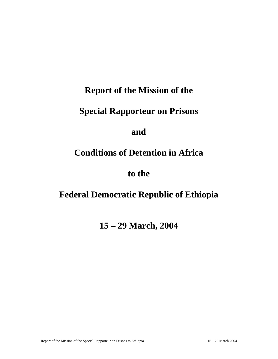## **Report of the Mission of the**

# **Special Rapporteur on Prisons**

## **and**

# **Conditions of Detention in Africa**

## **to the**

# **Federal Democratic Republic of Ethiopia**

## **15 – 29 March, 2004**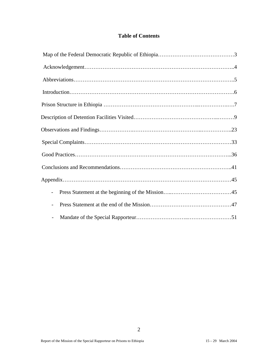## **Table of Contents**

| $\qquad \qquad -$        |
|--------------------------|
|                          |
| $\overline{\phantom{a}}$ |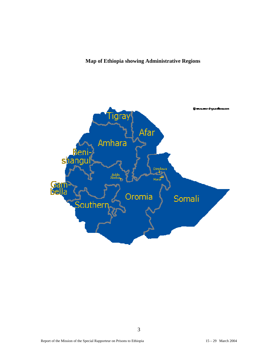## **Map of Ethiopia showing Administrative Regions**

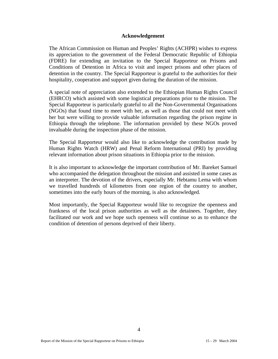#### **Acknowledgement**

The African Commission on Human and Peoples' Rights (ACHPR) wishes to express its appreciation to the government of the Federal Democratic Republic of Ethiopia (FDRE) for extending an invitation to the Special Rapporteur on Prisons and Conditions of Detention in Africa to visit and inspect prisons and other places of detention in the country. The Special Rapporteur is grateful to the authorities for their hospitality, cooperation and support given during the duration of the mission.

A special note of appreciation also extended to the Ethiopian Human Rights Council (EHRCO) which assisted with some logistical preparations prior to the mission. The Special Rapporteur is particularly grateful to all the Non-Governmental Organisations (NGOs) that found time to meet with her, as well as those that could not meet with her but were willing to provide valuable information regarding the prison regime in Ethiopia through the telephone. The information provided by these NGOs proved invaluable during the inspection phase of the mission.

The Special Rapporteur would also like to acknowledge the contribution made by Human Rights Watch (HRW) and Penal Reform International (PRI) by providing relevant information about prison situations in Ethiopia prior to the mission.

It is also important to acknowledge the important contribution of Mr. Bareket Samuel who accompanied the delegation throughout the mission and assisted in some cases as an interpreter. The devotion of the drivers, especially Mr. Hebtamu Lema with whom we travelled hundreds of kilometres from one region of the country to another, sometimes into the early hours of the morning, is also acknowledged.

Most importantly, the Special Rapporteur would like to recognize the openness and frankness of the local prison authorities as well as the detainees. Together, they facilitated our work and we hope such openness will continue so as to enhance the condition of detention of persons deprived of their liberty.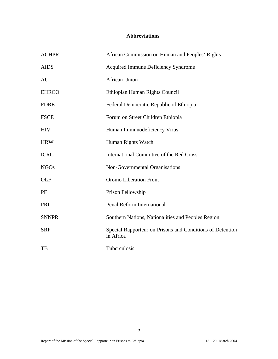## **Abbreviations**

| <b>ACHPR</b> | African Commission on Human and Peoples' Rights                        |
|--------------|------------------------------------------------------------------------|
| <b>AIDS</b>  | Acquired Immune Deficiency Syndrome                                    |
| AU           | <b>African Union</b>                                                   |
| <b>EHRCO</b> | Ethiopian Human Rights Council                                         |
| <b>FDRE</b>  | Federal Democratic Republic of Ethiopia                                |
| <b>FSCE</b>  | Forum on Street Children Ethiopia                                      |
| <b>HIV</b>   | Human Immunodeficiency Virus                                           |
| <b>HRW</b>   | Human Rights Watch                                                     |
| <b>ICRC</b>  | <b>International Committee of the Red Cross</b>                        |
| <b>NGOs</b>  | Non-Governmental Organisations                                         |
| OLF          | Oromo Liberation Front                                                 |
| PF           | Prison Fellowship                                                      |
| PRI          | <b>Penal Reform International</b>                                      |
| <b>SNNPR</b> | Southern Nations, Nationalities and Peoples Region                     |
| <b>SRP</b>   | Special Rapporteur on Prisons and Conditions of Detention<br>in Africa |
| TB           | Tuberculosis                                                           |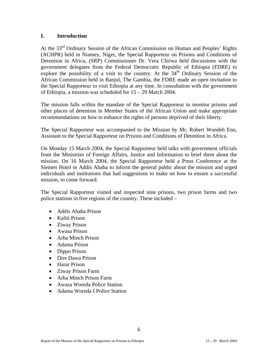#### **I. Introduction**

At the 33rd Ordinary Session of the African Commission on Human and Peoples' Rights (ACHPR) held in Niamey, Niger, the Special Rapporteur on Prisons and Conditions of Detention in Africa, (SRP) Commissioner Dr. Vera Chirwa held discussions with the government delegates from the Federal Democratic Republic of Ethiopia (FDRE) to explore the possibility of a visit to the country. At the 34<sup>th</sup> Ordinary Session of the African Commission held in Banjul, The Gambia, the FDRE made an open invitation to the Special Rapporteur to visit Ethiopia at any time. In consultation with the government of Ethiopia, a mission was scheduled for 15 – 29 March 2004.

The mission falls within the mandate of the Special Rapporteur to monitor prisons and other places of detention in Member States of the African Union and make appropriate recommendations on how to enhance the rights of persons deprived of their liberty.

The Special Rapporteur was accompanied to the Mission by Mr. Robert Wundeh Eno, Assistant to the Special Rapporteur on Prisons and Conditions of Detention in Africa.

On Monday 15 March 2004, the Special Rapporteur held talks with government officials from the Ministries of Foreign Affairs, Justice and Information to brief them about the mission. On 16 March 2004, the Special Rapporteur held a Press Conference at the Siemen Hotel in Addis Ababa to inform the general public about the mission and urged individuals and institutions that had suggestions to make on how to ensure a successful mission, to come forward.

The Special Rapporteur visited and inspected nine prisons, two prison farms and two police stations in five regions of the country. These included –

- Addis Ababa Prison
- Kaliti Prison
- Ziway Prison
- Awasa Prison
- Arba Minch Prison
- Adama Prison
- Dippo Prison
- Dire Dawa Prison
- Harar Prison
- Ziway Prison Farm
- Arba Minch Prison Farm
- Awasa Woreda Police Station
- Adama Woreda I Police Station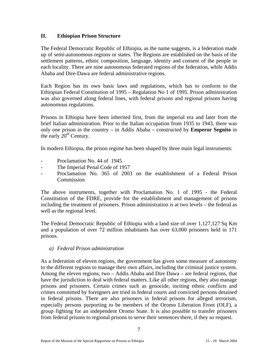#### **II. Ethiopian Prison Structure**

The Federal Democratic Republic of Ethiopia, as the name suggests, is a federation made up of semi-autonomous regions or states. The Regions are established on the basis of the settlement patterns, ethnic composition, language, identity and consent of the people in each locality. There are nine autonomous federated regions of the federation, while Addis Ababa and Dire-Dawa are federal administrative regions.

Each Region has its own basic laws and regulations, which has to conform to the Ethiopian Federal Constitution of 1995 – Regulation No 1 of 1995. Prison administration was also governed along federal lines, with federal prisons and regional prisons having autonomous regulations.

Prisons in Ethiopia have been inherited first, from the imperial era and later from the brief Italian administration. Prior to the Italian occupation from 1935 to 1943, there was only one prison in the country – in Addis Ababa – constructed by **Emperor Segnito** in the early  $20<sup>th</sup>$  Century.

In modern Ethiopia, the prison regime has been shaped by three main legal instruments:

- Proclamation No. 44 of 1945
- The Imperial Penal Code of 1957
- Proclamation No. 365 of 2003 on the establishment of a Federal Prison **Commission**

The above instruments, together with Proclamation No. 1 of 1995 - the Federal Constitution of the FDRE, provide for the establishment and management of prisons including the treatment of prisoners. Prison administration is at two levels – the federal as well as the regional level.

The Federal Democratic Republic of Ethiopia with a land size of over 1,127,127 Sq Km and a population of over 72 million inhabitants has over 63,000 prisoners held in 171 prisons.

*a) Federal Prison administration* 

As a federation of eleven regions, the government has given some measure of autonomy to the different regions to manage their own affairs, including the criminal justice system. Among the eleven regions, two – Addis Ababa and Dire Dawa – are federal regions, that have the jurisdiction to deal with federal matters. Like all other regions, they also manage prisons and prisoners. Certain crimes such as genocide, inciting ethnic conflicts and crimes committed by foreigners are tried in federal courts and convicted persons detained in federal prisons. There are also prisoners in federal prisons for alleged terrorism, especially persons purporting to be members of the Oromo Liberation Front (OLF), a group fighting for an independent Oromo State. It is also possible to transfer prisoners from federal prisons to regional prisons to serve their sentences there, if they so request.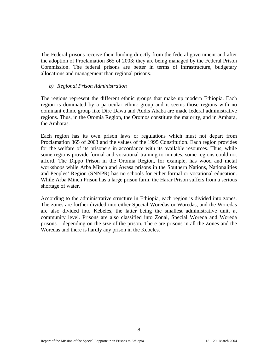The Federal prisons receive their funding directly from the federal government and after the adoption of Proclamation 365 of 2003; they are being managed by the Federal Prison Commission. The federal prisons are better in terms of infrastructure, budgetary allocations and management than regional prisons.

#### *b) Regional Prison Administration*

The regions represent the different ethnic groups that make up modern Ethiopia. Each region is dominated by a particular ethnic group and it seems those regions with no dominant ethnic group like Dire Dawa and Addis Ababa are made federal administrative regions. Thus, in the Oromia Region, the Oromos constitute the majority, and in Amhara, the Amharas.

Each region has its own prison laws or regulations which must not depart from Proclamation 365 of 2003 and the values of the 1995 Constitution. Each region provides for the welfare of its prisoners in accordance with its available resources. Thus, while some regions provide formal and vocational training to inmates, some regions could not afford. The Dippo Prison in the Oromia Region, for example, has wood and metal workshops while Arba Minch and Awasa prisons in the Southern Nations, Nationalities and Peoples' Region (SNNPR) has no schools for either formal or vocational education. While Arba Minch Prison has a large prison farm, the Harar Prison suffers from a serious shortage of water.

According to the administrative structure in Ethiopia, each region is divided into zones. The zones are further divided into either Special Woredas or Woredas, and the Woredas are also divided into Kebeles, the latter being the smallest administrative unit, at community level. Prisons are also classified into Zonal, Special Woreda and Woreda prisons – depending on the size of the prison. There are prisons in all the Zones and the Woredas and there is hardly any prison in the Kebeles.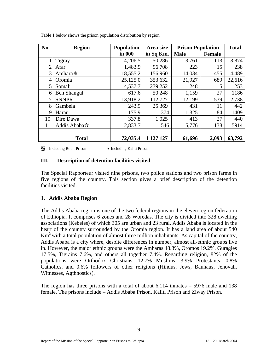| No.            | <b>Region</b> | <b>Population</b> | Area size | <b>Prison Population</b> |               | <b>Total</b> |
|----------------|---------------|-------------------|-----------|--------------------------|---------------|--------------|
|                |               | in 000            | in Sq Km. | <b>Male</b>              | <b>Female</b> |              |
|                | Tigray        | 4,206.5           | 50 28 6   | 3,761                    | 113           | 3,874        |
| $\overline{2}$ | Afar          | 1,483.9           | 96 708    | 223                      | 15            | 238          |
| 3              | Amhara *      | 18,555.2          | 156 960   | 14,034                   | 455           | 14,489       |
| 4              | Oromia        | 25,125.0          | 353 632   | 21,927                   | 689           | 22,616       |
| 5              | Somali        | 4,537.7           | 279 252   | 248                      | 5             | 253          |
| 6              | Ben Shangul   | 617.6             | 50 248    | 1,159                    | 27            | 1186         |
| 7              | <b>SNNPR</b>  | 13,918.2          | 112727    | 12,199                   | 539           | 12,738       |
| 8              | Gambela       | 243.9             | 25 3 69   | 431                      | 11            | 442          |
| 9              | Harar         | 175.9             | 374       | 1,325                    | 84            | 1409         |
| 10             | Dire Dawa     | 337.8             | 1 0 2 5   | 413                      | 27            | 440          |
| 11             | Addis Ababa☆  | 2,833.7           | 546       | 5,776                    | 138           | 5914         |
|                |               |                   |           |                          |               |              |
|                | <b>Total</b>  | 72,035.4          | 1 127 127 | 61,696                   | 2,093         | 63,792       |

Table 1 below shows the prison population distribution by region.

 $\mathbb{R}$  Including Robit Prison  $\mathbb{R}$  Including Kaliti Prison

#### **III. Description of detention facilities visited**

The Special Rapporteur visited nine prisons, two police stations and two prison farms in five regions of the country. This section gives a brief description of the detention facilities visited.

#### **1. Addis Ababa Region**

The Addis Ababa region is one of the two federal regions in the eleven region federation of Ethiopia. It comprises 6 zones and 28 Woredas. The city is divided into 328 dwelling associations (Kebeles) of which 305 are urban and 23 rural. Addis Ababa is located in the heart of the country surrounded by the Oromia region. It has a land area of about 540  $\text{Km}^2$  with a total population of almost three million inhabitants. As capital of the country, Addis Ababa is a city where, despite differences in number, almost all-ethnic groups live in. However, the major ethnic groups were the Amharas 48.3%, Oromos 19.2%, Guragies 17.5%, Tigrains 7.6%, and others all together 7.4%. Regarding religion, 82% of the populations were Orthodox Christians, 12.7% Muslims, 3.9% Protestants, 0.8% Catholics, and 0.6% followers of other religions (Hindus, Jews, Bauhaus, Jehovah, Witnesses, Agthnostics).

The region has three prisons with a total of about 6,114 inmates – 5976 male and 138 female. The prisons include – Addis Ababa Prison, Kaliti Prison and Ziway Prison.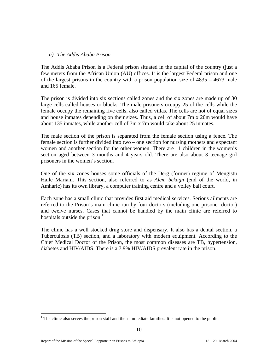#### *a) The Addis Ababa Prison*

The Addis Ababa Prison is a Federal prison situated in the capital of the country (just a few meters from the African Union (AU) offices. It is the largest Federal prison and one of the largest prisons in the country with a prison population size of 4835 – 4673 male and 165 female.

The prison is divided into six sections called zones and the six zones are made up of 30 large cells called houses or blocks. The male prisoners occupy 25 of the cells while the female occupy the remaining five cells, also called villas. The cells are not of equal sizes and house inmates depending on their sizes. Thus, a cell of about 7m x 20m would have about 135 inmates, while another cell of 7m x 7m would take about 25 inmates.

The male section of the prison is separated from the female section using a fence. The female section is further divided into two – one section for nursing mothers and expectant women and another section for the other women. There are 11 children in the women's section aged between 3 months and 4 years old. There are also about 3 teenage girl prisoners in the women's section.

One of the six zones houses some officials of the Derg (former) regime of Mengistu Haile Mariam. This section, also referred to as *Alem bekagn* (end of the world, in Amharic) has its own library, a computer training centre and a volley ball court.

Each zone has a small clinic that provides first aid medical services. Serious ailments are referred to the Prison's main clinic run by four doctors (including one prisoner doctor) and twelve nurses. Cases that cannot be handled by the main clinic are referred to hospitals outside the prison. $<sup>1</sup>$ </sup>

The clinic has a well stocked drug store and dispensary. It also has a dental section, a Tuberculosis (TB) section, and a laboratory with modern equipment. According to the Chief Medical Doctor of the Prison, the most common diseases are TB, hypertension, diabetes and HIV/AIDS. There is a 7.9% HIV/AIDS prevalent rate in the prison.

 $\overline{a}$  $<sup>1</sup>$  The clinic also serves the prison staff and their immediate families. It is not opened to the public.</sup>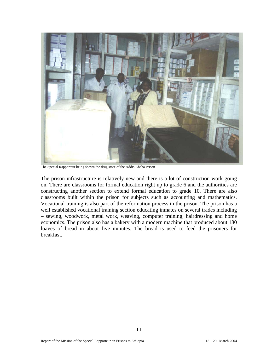

The Special Rapporteur being shown the drug store of the Addis Ababa Prison

The prison infrastructure is relatively new and there is a lot of construction work going on. There are classrooms for formal education right up to grade 6 and the authorities are constructing another section to extend formal education to grade 10. There are also classrooms built within the prison for subjects such as accounting and mathematics. Vocational training is also part of the reformation process in the prison. The prison has a well established vocational training section educating inmates on several trades including – sewing, woodwork, metal work, weaving, computer training, hairdressing and home economics. The prison also has a bakery with a modern machine that produced about 180 loaves of bread in about five minutes. The bread is used to feed the prisoners for breakfast.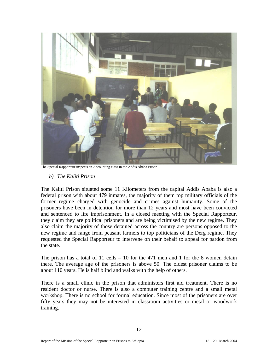

The Special Rapporteur inspects an Accounting class in the Addis Ababa Prison

*b) The Kaliti Prison* 

The Kaliti Prison situated some 11 Kilometers from the capital Addis Ababa is also a federal prison with about 479 inmates, the majority of them top military officials of the former regime charged with genocide and crimes against humanity. Some of the prisoners have been in detention for more than 12 years and most have been convicted and sentenced to life imprisonment. In a closed meeting with the Special Rapporteur, they claim they are political prisoners and are being victimised by the new regime. They also claim the majority of those detained across the country are persons opposed to the new regime and range from peasant farmers to top politicians of the Derg regime. They requested the Special Rapporteur to intervene on their behalf to appeal for pardon from the state.

The prison has a total of 11 cells – 10 for the 471 men and 1 for the 8 women detain there. The average age of the prisoners is above 50. The oldest prisoner claims to be about 110 years. He is half blind and walks with the help of others.

There is a small clinic in the prison that administers first aid treatment. There is no resident doctor or nurse. There is also a computer training centre and a small metal workshop. There is no school for formal education. Since most of the prisoners are over fifty years they may not be interested in classroom activities or metal or woodwork training.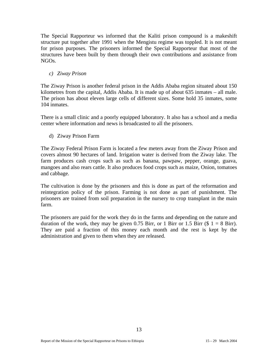The Special Rapporteur ws informed that the Kaliti prison compound is a makeshift structure put together after 1991 when the Mengistu regime was toppled. It is not meant for prison purposes. The prisoners informed the Special Rapporteur that most of the structures have been built by them through their own contributions and assistance from NGOs.

*c) Ziway Prison* 

The Ziway Prison is another federal prison in the Addis Ababa region situated about 150 kilometres from the capital, Addis Ababa. It is made up of about 635 inmates – all male. The prison has about eleven large cells of different sizes. Some hold 35 inmates, some 104 inmates.

There is a small clinic and a poorly equipped laboratory. It also has a school and a media center where information and news is broadcasted to all the prisoners.

d) Ziway Prison Farm

The Ziway Federal Prison Farm is located a few meters away from the Ziway Prison and covers almost 90 hectares of land. Irrigation water is derived from the Ziway lake. The farm produces cash crops such as such as banana, pawpaw, pepper, orange, guava, mangoes and also rears cattle. It also produces food crops such as maize, Onion, tomatoes and cabbage.

The cultivation is done by the prisoners and this is done as part of the reformation and reintegration policy of the prison. Farming is not done as part of punishment. The prisoners are trained from soil preparation in the nursery to crop transplant in the main farm.

The prisoners are paid for the work they do in the farms and depending on the nature and duration of the work, they may be given 0.75 Birr, or 1 Birr or 1.5 Birr (\$  $1 = 8$  Birr). They are paid a fraction of this money each month and the rest is kept by the administration and given to them when they are released.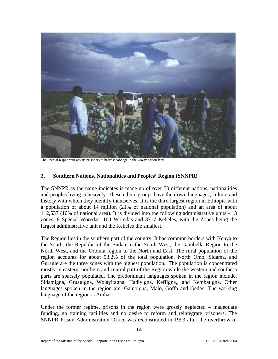

The Special Rapporteur assists prisoners to harvest cabbage in the Ziway prison farm

#### **2. Southern Nations, Nationalities and Peoples' Region (SNNPR)**

The SNNPR as the name indicates is made up of over 50 different nations, nationalities and peoples living cohesively. These ethnic groups have their own languages, culture and history with which they identify themselves. It is the third largest region in Ethiopia with a population of about 14 million (21% of national population) and an area of about 112,537 (10% of national area). It is divided into the following administrative units - 13 zones, 8 Special Woredas, 104 Woredas and 3717 Kebeles, with the Zones being the largest administrative unit and the Kebeles the smallest.

The Region lies in the southern part of the country. It has common borders with Kenya to the South, the Republic of the Sudan to the South West, the Gambella Region to the North West, and the Oromia region to the North and East. The rural population of the region accounts for about 93.2% of the total population. North Omo, Sidama, and Guragie are the three zones with the highest population. The population is concentrated mostly in eastern, northern and central part of the Region while the western and southern parts are sparsely populated. The predominant languages spoken in the region include, Sidamigna, Gruagigna, Wolayitagna, Hadiyigna, Keffigna,, and Kembatigna. Other languages spoken in the region are, Gamoigna, Malo, Goffa and Gedeo. The working language of the region is Amharic.

Under the former regime, prisons in the region were grossly neglected – inadequate funding, no training facilities and no desire to reform and reintegrate prisoners. The SNNPR Prison Administration Office was reconstituted in 1993 after the overthrow of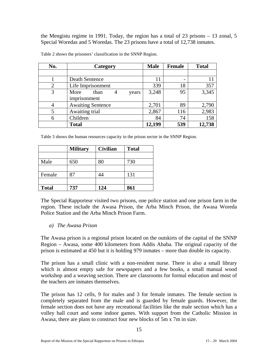the Mengistu regime in 1991. Today, the region has a total of 23 prisons – 13 zonal, 5 Special Woredas and 5 Woredas. The 23 prisons have a total of 12,738 inmates.

| No.            | Category                   | <b>Male</b> | <b>Female</b> | <b>Total</b> |
|----------------|----------------------------|-------------|---------------|--------------|
|                |                            |             |               |              |
|                | Death Sentence             | 11          | -             |              |
| $\overline{2}$ | Life Imprisonment          | 339         | 18            | 357          |
| 3              | More<br>than<br>4<br>years | 3,248       | 95            | 3,345        |
|                | imprisonment               |             |               |              |
| 4              | <b>Awaiting Sentence</b>   | 2,701       | 89            | 2,790        |
| 5              | Awaiting trial             | 2,867       | 116           | 2,983        |
| 6              | Children                   | 84          | 74            | 158          |
|                | <b>Total</b>               | 12,199      | 539           | 12,738       |

Table 2 shows the prisoners' classification in the SNNP Region.

Table 3 shows the human resources capacity in the prison sector in the SNNP Region.

|              | <b>Military</b> | <b>Civilian</b> | <b>Total</b> |
|--------------|-----------------|-----------------|--------------|
|              |                 |                 |              |
| Male         | 650             |                 | 730          |
|              |                 |                 |              |
| Female       | 87              |                 | 131          |
|              |                 |                 |              |
| <b>Total</b> | 737             | 124             | 861          |

The Special Rapporteur visited two prisons, one police station and one prison farm in the region. These include the Awasa Prison, the Arba Minch Prison, the Awasa Woreda Police Station and the Arba Minch Prison Farm.

*a) The Awasa Prison* 

The Awasa prison is a regional prison located on the outskirts of the capital of the SNNP Region – Awasa, some 400 kilometers from Addis Ababa. The original capacity of the prison is estimated at 450 but it is holding 979 inmates – more than double its capacity.

The prison has a small clinic with a non-resident nurse. There is also a small library which is almost empty safe for newspapers and a few books, a small manual wood workshop and a weaving section. There are classrooms for formal education and most of the teachers are inmates themselves.

The prison has 12 cells, 9 for males and 3 for female inmates. The female section is completely separated from the male and is guarded by female guards. However, the female section does not have any recreational facilities like the male section which has a volley ball court and some indoor games. With support from the Catholic Mission in Awasa, there are plans to construct four new blocks of 5m x 7m in size.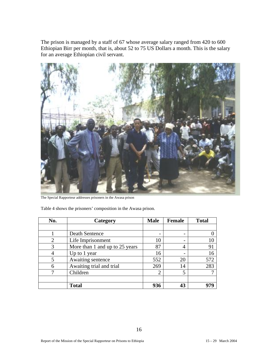The prison is managed by a staff of 67 whose average salary ranged from 420 to 600 Ethiopian Birr per month, that is, about 52 to 75 US Dollars a month. This is the salary for an average Ethiopian civil servant.



The Special Rapporteur addresses prisoners in the Awasa prison

Table 4 shows the prisoners' composition in the Awasa prison.

| No. | Category                       | <b>Male</b>                 | <b>Female</b> | <b>Total</b> |
|-----|--------------------------------|-----------------------------|---------------|--------------|
|     |                                |                             |               |              |
|     | Death Sentence                 |                             |               |              |
| 2   | Life Imprisonment              | 10                          |               | 10           |
| 3   | More than 1 and up to 25 years | 87                          | 4             | 91           |
|     | Up to 1 year                   | 16                          |               | 16           |
| 5   | Awaiting sentence              | 552                         | 20            | 572          |
| 6   | Awaiting trial and trial       | 269                         | 14            | 283          |
| 7   | Children                       | $\mathcal{D}_{\mathcal{L}}$ | 5             |              |
|     |                                |                             |               |              |
|     | <b>Total</b>                   | 936                         | 43            | 979          |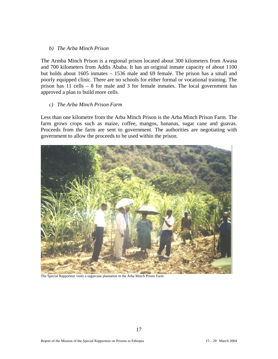#### *b) The Arba Minch Prison*

The Armba Minch Prison is a regional prison located about 300 kilometers from Awasa and 700 kilometers from Addis Ababa. It has an original inmate capacity of about 1100 but holds about 1605 inmates – 1536 male and 69 female. The prison has a small and poorly equipped clinic. There are no schools for either formal or vocational training. The prison has 11 cells – 8 for male and 3 for female inmates. The local government has approved a plan to build more cells.

#### *c) The Arba Minch Prison Farm*

Less than one kilometre from the Arba Minch Prison is the Arba Minch Prison Farm. The farm grows crops such as maize, coffee, mangos, bananas, sugar cane and guavas. Proceeds from the farm are sent to government. The authorities are negotiating with government to allow the proceeds to be used within the prison.



The Special Rapporteur visits a sugarcane plantation in the Arba Minch Prison Farm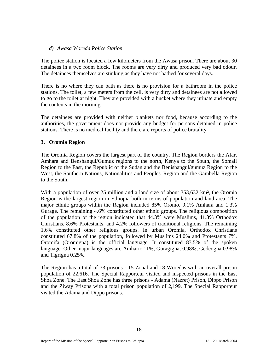#### *d) Awasa Woreda Police Station*

The police station is located a few kilometers from the Awasa prison. There are about 30 detainees in a two room block. The rooms are very dirty and produced very bad odour. The detainees themselves are stinking as they have not bathed for several days.

There is no where they can bath as there is no provision for a bathroom in the police stations. The toilet, a few meters from the cell, is very dirty and detainees are not allowed to go to the toilet at night. They are provided with a bucket where they urinate and empty the contents in the morning.

The detainees are provided with neither blankets nor food, because according to the authorities, the government does not provide any budget for persons detained in police stations. There is no medical facility and there are reports of police brutality.

#### **3. Oromia Region**

The Oromia Region covers the largest part of the country. The Region borders the Afar, Amhara and Benshangul/Gumuz regions to the north, Kenya to the South, the Somali Region to the East, the Republic of the Sudan and the Benishangul/gumuz Region to the West, the Southern Nations, Nationalities and Peoples' Region and the Gambella Region to the South.

With a population of over 25 million and a land size of about 353,632 km<sup>2</sup>, the Oromia Region is the largest region in Ethiopia both in terms of population and land area. The major ethnic groups within the Region included 85% Oromo, 9.1% Amhara and 1.3% Gurage. The remaining 4.6% constituted other ethnic groups. The religious composition of the population of the region indicated that 44.3% were Muslims, 41.3% Orthodox Christians, 8.6% Protestants, and 4.2% followers of traditional religions. The remaining 1.6% constituted other religious groups. In urban Oromia, Orthodox Christians constituted 67.8% of the population, followed by Muslims 24.0% and Protestants 7%. Oromifa (Oromigna) is the official language. It constituted 83.5% of the spoken language. Other major languages are Amharic 11%, Guragigna, 0.98%, Gedeogna 0.98% and Tigrigna 0.25%.

The Region has a total of 33 prisons - 15 Zonal and 18 Woredas with an overall prison population of 22,616. The Special Rapporteur visited and inspected prisons in the East Shoa Zone. The East Shoa Zone has three prisons - Adama (Nazret) Prison, Dippo Prison and the Ziway Prisons with a total prison population of 2,199. The Special Rapporteur visited the Adama and Dippo prisons.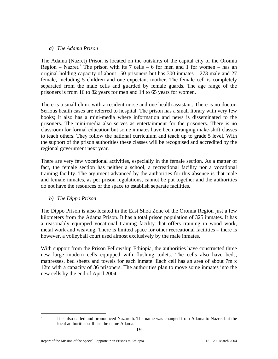#### *a) The Adama Prison*

The Adama (Nazret) Prison is located on the outskirts of the capital city of the Oromia Region – Nazret.<sup>2</sup> The prison with its 7 cells – 6 for men and 1 for women – has an original holding capacity of about 150 prisoners but has 300 inmates – 273 male and 27 female, including 5 children and one expectant mother. The female cell is completely separated from the male cells and guarded by female guards. The age range of the prisoners is from 16 to 82 years for men and 14 to 65 years for women.

There is a small clinic with a resident nurse and one health assistant. There is no doctor. Serious health cases are referred to hospital. The prison has a small library with very few books; it also has a mini-media where information and news is disseminated to the prisoners. The mini-media also serves as entertainment for the prisoners. There is no classroom for formal education but some inmates have been arranging make-shift classes to teach others. They follow the national curriculum and teach up to grade 5 level. With the support of the prison authorities these classes will be recognised and accredited by the regional government next year.

There are very few vocational activities, especially in the female section. As a matter of fact, the female section has neither a school, a recreational facility nor a vocational training facility. The argument advanced by the authorities for this absence is that male and female inmates, as per prison regulations, cannot be put together and the authorities do not have the resources or the space to establish separate facilities.

#### *b) The Dippo Prison*

 $\frac{1}{2}$ 

The Dippo Prison is also located in the East Shoa Zone of the Oromia Region just a few kilometers from the Adama Prison. It has a total prison population of 325 inmates. It has a reasonably equipped vocational training facility that offers training in wood work, metal work and weaving. There is limited space for other recreational facilities – there is however, a volleyball court used almost exclusively by the male inmates.

With support from the Prison Fellowship Ethiopia, the authorities have constructed three new large modern cells equipped with flushing toilets. The cells also have beds, mattresses, bed sheets and towels for each inmate. Each cell has an area of about 7m x 12m with a capacity of 36 prisoners. The authorities plan to move some inmates into the new cells by the end of April 2004.

It is also called and pronounced Nazareth. The name was changed from Adama to Nazret but the local authorities still use the name Adama.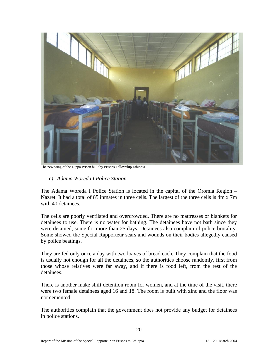

The new wing of the Dippo Prison built by Prisons Fellowship Ethiopia

*c) Adama Woreda I Police Station* 

The Adama Woreda I Police Station is located in the capital of the Oromia Region – Nazret. It had a total of 85 inmates in three cells. The largest of the three cells is 4m x 7m with 40 detainees.

The cells are poorly ventilated and overcrowded. There are no mattresses or blankets for detainees to use. There is no water for bathing. The detainees have not bath since they were detained, some for more than 25 days. Detainees also complain of police brutality. Some showed the Special Rapporteur scars and wounds on their bodies allegedly caused by police beatings.

They are fed only once a day with two loaves of bread each. They complain that the food is usually not enough for all the detainees, so the authorities choose randomly, first from those whose relatives were far away, and if there is food left, from the rest of the detainees.

There is another make shift detention room for women, and at the time of the visit, there were two female detainees aged 16 and 18. The room is built with zinc and the floor was not cemented

The authorities complain that the government does not provide any budget for detainees in police stations.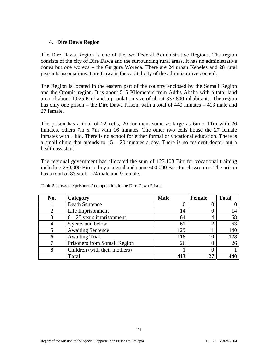#### **4. Dire Dawa Region**

The Dire Dawa Region is one of the two Federal Administrative Regions. The region consists of the city of Dire Dawa and the surrounding rural areas. It has no administrative zones but one woreda – the Gurgura Woreda. There are 24 urban Kebeles and 28 rural peasants associations. Dire Dawa is the capital city of the administrative council.

The Region is located in the eastern part of the country enclosed by the Somali Region and the Oromia region. It is about 515 Kilometers from Addis Ababa with a total land area of about 1,025 Km² and a population size of about 337.800 inhabitants. The region has only one prison – the Dire Dawa Prison, with a total of 440 inmates – 413 male and 27 female.

The prison has a total of 22 cells, 20 for men, some as large as 6m x 11m with 26 inmates, others 7m x 7m with 16 inmates. The other two cells house the 27 female inmates with 1 kid. There is no school for either formal or vocational education. There is a small clinic that attends to  $15 - 20$  inmates a day. There is no resident doctor but a health assistant.

The regional government has allocated the sum of 127,108 Birr for vocational training including 250,000 Birr to buy material and some 600,000 Birr for classrooms. The prison has a total of 83 staff – 74 male and 9 female.

| No. | Category                      | <b>Male</b> | Female | <b>Total</b> |
|-----|-------------------------------|-------------|--------|--------------|
|     | Death Sentence                | O           |        |              |
| ∍   | Life Imprisonment             | 14          |        | 14           |
|     | $6 - 25$ years imprisonment   | 64          | 4      | 68           |
|     | 5 years and below             | 61          |        | 63           |
|     | <b>Awaiting Sentence</b>      | 129         | 11     | 140          |
|     | <b>Awaiting Trial</b>         | 118         | 10     | 128          |
|     | Prisoners from Somali Region  | 26          |        | 26           |
| 8   | Children (with their mothers) |             |        |              |
|     | <b>Total</b>                  | 413         | 27     |              |

Table 5 shows the prisoners' composition in the Dire Dawa Prison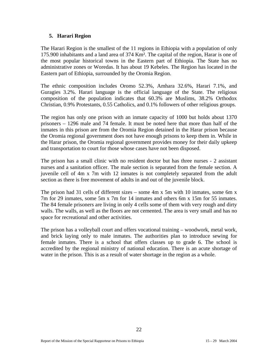#### **5. Harari Region**

The Harari Region is the smallest of the 11 regions in Ethiopia with a population of only 175.900 inhabitants and a land area of 374 Km². The capital of the region, Harar is one of the most popular historical towns in the Eastern part of Ethiopia. The State has no administrative zones or Woredas. It has about 19 Kebeles. The Region has located in the Eastern part of Ethiopia, surrounded by the Oromia Region.

The ethnic composition includes Oromo 52.3%, Amhara 32.6%, Harari 7.1%, and Guragies 3.2%. Harari language is the official language of the State. The religious composition of the population indicates that 60.3% are Muslims, 38.2% Orthodox Christian, 0.9% Protestants, 0.55 Catholics, and 0.1% followers of other religious groups.

The region has only one prison with an inmate capacity of 1000 but holds about 1370 prisoners – 1296 male and 74 female. It must be noted here that more than half of the inmates in this prison are from the Oromia Region detained in the Harar prison because the Oromia regional government does not have enough prisons to keep them in. While in the Harar prison, the Oromia regional government provides money for their daily upkeep and transportation to court for those whose cases have not been disposed.

The prison has a small clinic with no resident doctor but has three nurses - 2 assistant nurses and a sanitation officer. The male section is separated from the female section. A juvenile cell of 4m x 7m with 12 inmates is not completely separated from the adult section as there is free movement of adults in and out of the juvenile block.

The prison had 31 cells of different sizes – some 4m x 5m with 10 inmates, some 6m x 7m for 29 inmates, some 5m x 7m for 14 inmates and others 6m x 15m for 55 inmates. The 84 female prisoners are living in only 4 cells some of them with very rough and dirty walls. The walls, as well as the floors are not cemented. The area is very small and has no space for recreational and other activities.

The prison has a volleyball court and offers vocational training – woodwork, metal work, and brick laying only to male inmates. The authorities plan to introduce sewing for female inmates. There is a school that offers classes up to grade 6. The school is accredited by the regional ministry of national education. There is an acute shortage of water in the prison. This is as a result of water shortage in the region as a whole.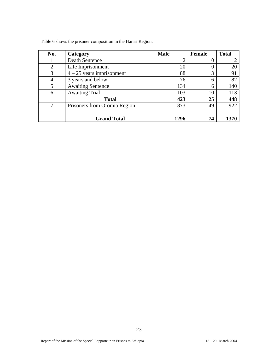Table 6 shows the prisoner composition in the Harari Region.

| No.            | Category                     | <b>Male</b>    | Female | <b>Total</b> |
|----------------|------------------------------|----------------|--------|--------------|
|                | <b>Death Sentence</b>        | $\overline{2}$ |        | ⌒            |
| $\overline{2}$ | Life Imprisonment            | 20             | O      | 20           |
| 3              | $4 - 25$ years imprisonment  | 88             | 3      | 91           |
| 4              | 3 years and below            | 76             | 6      | 82           |
|                | <b>Awaiting Sentence</b>     | 134            | 6      | 140          |
| 6              | <b>Awaiting Trial</b>        | 103            | 10     | 113          |
|                | <b>Total</b>                 | 423            | 25     | 448          |
| ⇁              | Prisoners from Oromia Region | 873            | 49     | 922          |
|                |                              |                |        |              |
|                | <b>Grand Total</b>           | 1296           | 74     |              |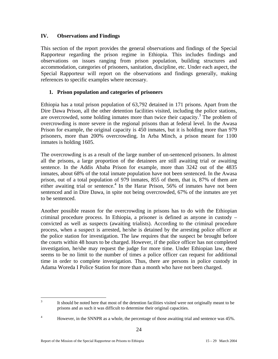### **IV. Observations and Findings**

This section of the report provides the general observations and findings of the Special Rapporteur regarding the prison regime in Ethiopia. This includes findings and observations on issues ranging from prison population, building structures and accommodation, categories of prisoners, sanitation, discipline, etc. Under each aspect, the Special Rapporteur will report on the observations and findings generally, making references to specific examples where necessary.

### **1. Prison population and categories of prisoners**

Ethiopia has a total prison population of 63,792 detained in 171 prisons. Apart from the Dire Dawa Prison, all the other detention facilities visited, including the police stations, are overcrowded, some holding inmates more than twice their capacity.<sup>3</sup> The problem of overcrowding is more severe in the regional prisons than at federal level. In the Awasa Prison for example, the original capacity is 450 inmates, but it is holding more than 979 prisoners, more than 200% overcrowding. In Arba Minch, a prison meant for 1100 inmates is holding 1605.

The overcrowding is as a result of the large number of un-sentenced prisoners. In almost all the prisons, a large proportion of the detainees are still awaiting trial or awaiting sentence. In the Addis Ababa Prison for example, more than 3242 out of the 4835 inmates, about 68% of the total inmate population have not been sentenced. In the Awasa prison, out of a total population of 979 inmates, 855 of them, that is, 87% of them are either awaiting trial or sentence.<sup>4</sup> In the Harar Prison, 56% of inmates have not been sentenced and in Dire Dawa, in spite not being overcrowded, 67% of the inmates are yet to be sentenced.

Another possible reason for the overcrowding in prisons has to do with the Ethiopian criminal procedure process. In Ethiopia, a prisoner is defined as anyone in custody – convicted as well as suspects (awaiting trialists). According to the criminal procedure process, when a suspect is arrested, he/she is detained by the arresting police officer at the police station for investigation. The law requires that the suspect be brought before the courts within 48 hours to be charged. However, if the police officer has not completed investigation, he/she may request the judge for more time. Under Ethiopian law, there seems to be no limit to the number of times a police officer can request for additional time in order to complete investigation. Thus, there are persons in police custody in Adama Woreda I Police Station for more than a month who have not been charged.

 $\frac{1}{3}$  It should be noted here that most of the detention facilities visited were not originally meant to be prisons and as such it was difficult to determine their original capacities.

<sup>4</sup> However, in the SNNPR as a whole, the percentage of those awaiting trial and sentence was 45%.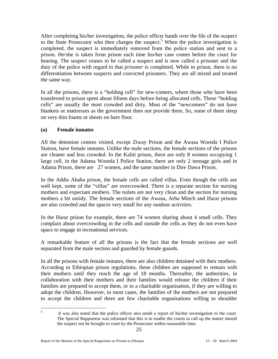After completing his/her investigation, the police officer hands over the file of the suspect to the State Prosecutor who then charges the suspect.<sup>5</sup> When the police investigation is completed, the suspect is immediately removed from the police station and sent to a prison. He/she is taken from prison each time his/her case comes before the court for hearing. The suspect ceases to be called a suspect and is now called a prisoner and the duty of the police with regard to that *prisoner* is completed. While in prison, there is no differentiation between suspects and convicted prisoners. They are all mixed and treated the same way.

In all the prisons, there is a "holding cell" for new-comers, where those who have been transferred to prison spent about fifteen days before being allocated cells. These "holding cells" are usually the most crowded and dirty. Most of the "newcomers" do not have blankets or mattresses as the government does not provide them. So, some of them sleep on very thin foams or sheets on bare floor.

## **(a) Female inmates**

All the detention centres visited, except Ziway Prison and the Awasa Woreda I Police Station, have female inmates. Unlike the male sections, the female sections of the prisons are cleaner and less crowded. In the Kaliti prison, there are only 8 women occupying 1 large cell, in the Adama Woreda I Police Station, there are only 2 teenage girls and in Adama Prison, there are 27 women, and the same number in Dire Dawa Prison.

In the Addis Ababa prison, the female cells are called villas. Even though the cells are well kept, some of the "villas" are overcrowded. There is a separate section for nursing mothers and expectant mothers. The toilets are not very clean and the section for nursing mothers a bit untidy. The female sections of the Awasa, Arba Minch and Harar prisons are also crowded and the spaces very small for any outdoor activities.

In the Harar prison for example, there are 74 women sharing about 4 small cells. They complain about overcrowding in the cells and outside the cells as they do not even have space to engage in recreational services.

A remarkable feature of all the prisons is the fact that the female sections are well separated from the male section and guarded by female guards.

In all the prisons with female inmates, there are also children detained with their mothers. According to Ethiopian prison regulations, these children are supposed to remain with their mothers until they reach the age of 18 months. Thereafter, the authorities, in collaboration with their mothers and their families would release the children if their families are prepared to accept them, or to a charitable organisation, if they are willing to adopt the children. However, in most cases, the families of the mothers are not prepared to accept the children and there are few charitable organisations willing to shoulder

 $\frac{1}{5}$ 

It was also noted that the police officer also sends a report of his/her investigation to the court. The Special Rapporteur was informed that this is to enable the courts to call up the matter should the suspect not be brought to court by the Prosecutor within reasonable time.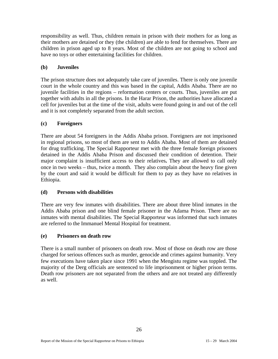responsibility as well. Thus, children remain in prison with their mothers for as long as their mothers are detained or they (the children) are able to fend for themselves. There are children in prison aged up to 8 years. Most of the children are not going to school and have no toys or other entertaining facilities for children.

## **(b) Juveniles**

The prison structure does not adequately take care of juveniles. There is only one juvenile court in the whole country and this was based in the capital, Addis Ababa. There are no juvenile facilities in the regions – reformation centers or courts. Thus, juveniles are put together with adults in all the prisons. In the Harar Prison, the authorities have allocated a cell for juveniles but at the time of the visit, adults were found going in and out of the cell and it is not completely separated from the adult section.

## **(c) Foreigners**

There are about 54 foreigners in the Addis Ababa prison. Foreigners are not imprisoned in regional prisons, so most of them are sent to Addis Ababa. Most of them are detained for drug trafficking. The Special Rapporteur met with the three female foreign prisoners detained in the Addis Ababa Prison and discussed their condition of detention. Their major complaint is insufficient access to their relatives**.** They are allowed to call only once in two weeks – thus, twice a month. They also complain about the heavy fine given by the court and said it would be difficult for them to pay as they have no relatives in Ethiopia.

## **(d) Persons with disabilities**

There are very few inmates with disabilities. There are about three blind inmates in the Addis Ababa prison and one blind female prisoner in the Adama Prison. There are no inmates with mental disabilities. The Special Rapporteur was informed that such inmates are referred to the Immanuel Mental Hospital for treatment.

## **(e) Prisoners on death row**

There is a small number of prisoners on death row. Most of those on death row are those charged for serious offences such as murder, genocide and crimes against humanity. Very few executions have taken place since 1991 when the Mengistu regime was toppled. The majority of the Derg officials are sentenced to life imprisonment or higher prison terms. Death row prisoners are not separated from the others and are not treated any differently as well.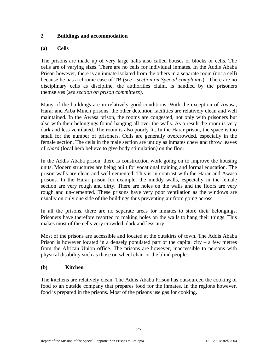### **2 Buildings and accommodation**

#### **(a) Cells**

The prisons are made up of very large halls also called houses or blocks or cells. The cells are of varying sizes. There are no cells for individual inmates. In the Addis Ababa Prison however, there is an inmate isolated from the others in a separate room (not a cell) because he has a chronic case of TB (*see - section on Special complaints*). There are no disciplinary cells as discipline, the authorities claim, is handled by the prisoners themselves (*see section on prison committees)*.

Many of the buildings are in relatively good conditions. With the exception of Awasa, Harar and Arba Minch prisons, the other detention facilities are relatively clean and well maintained. In the Awasa prison, the rooms are congested, not only with prisoners but also with their belongings found hanging all over the walls. As a result the room is very dark and less ventilated. The room is also poorly lit. In the Harar prison, the space is too small for the number of prisoners. Cells are generally overcrowded, especially in the female section. The cells in the male section are untidy as inmates chew and throw leaves of *chard* (local herb believe to give body stimulation*)* on the floor.

In the Addis Ababa prison, there is construction work going on to improve the housing units. Modern structures are being built for vocational training and formal education. The prison walls are clean and well cemented. This is in contrast with the Harar and Awasa prisons. In the Harar prison for example, the muddy walls, especially in the female section are very rough and dirty. There are holes on the walls and the floors are very rough and un-cemented. These prisons have very poor ventilation as the windows are usually on only one side of the buildings thus preventing air from going across.

In all the prisons, there are no separate areas for inmates to store their belongings. Prisoners have therefore resorted to making holes on the walls to hang their things. This makes most of the cells very crowded, dark and less airy.

Most of the prisons are accessible and located at the outskirts of town. The Addis Ababa Prison is however located in a densely populated part of the capital city – a few metres from the African Union office. The prisons are however, inaccessible to persons with physical disability such as those on wheel chair or the blind people.

## **(b) Kitchen**

The kitchens are relatively clean. The Addis Ababa Prison has outsourced the cooking of food to an outside company that prepares food for the inmates. In the regions however, food is prepared in the prisons. Most of the prisons use gas for cooking.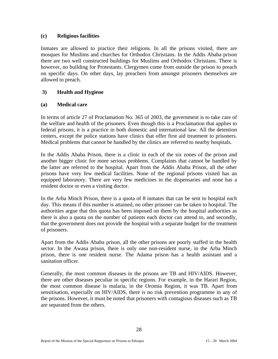### **(c) Religious facilities**

Inmates are allowed to practice their religions. In all the prisons visited, there are mosques for Muslims and churches for Orthodox Christians. In the Addis Ababa prison there are two well constructed buildings for Muslims and Orthodox Christians. There is however, no building for Protestants. Clergymen come from outside the prison to preach on specific days. On other days, lay preachers from amongst prisoners themselves are allowed to preach.

## **3) Health and Hygiene**

## **(a) Medical care**

In terms of article 27 of Proclamation No. 365 of 2003, the government is to take care of the welfare and health of the prisoners. Even though this is a Proclamation that applies to federal prisons, it is a practice in both domestic and international law. All the detention centers, except the police stations have clinics that offer first aid treatment to prisoners. Medical problems that cannot be handled by the clinics are referred to nearby hospitals.

In the Addis Ababa Prison, there is a clinic in each of the six zones of the prison and another bigger clinic for more serious problems. Complaints that cannot be handled by the latter are referred to the hospital. Apart from the Addis Ababa Prison, all the other prisons have very few medical facilities. None of the regional prisons visited has an equipped laboratory. There are very few medicines in the dispensaries and none has a resident doctor or even a visiting doctor.

In the Arba Minch Prison, there is a quota of 8 inmates that can be sent to hospital each day. This means if this number is attained, no other prisoner can be taken to hospital. The authorities argue that this quota has been imposed on them by the hospital authorities as there is also a quota on the number of patients each doctor can attend to, and secondly, that the government does not provide the hospital with a separate budget for the treatment of prisoners.

Apart from the Addis Ababa prison, all the other prisons are poorly staffed in the health sector. In the Awasa prison, there is only one non-resident nurse, in the Arba Minch prison, there is one resident nurse. The Adama prison has a health assistant and a sanitation officer.

Generally, the most common diseases in the prisons are TB and HIV/AIDS. However, there are other diseases peculiar in specific regions. For example, in the Harari Region, the most common disease is malaria, in the Oromia Region, it was TB. Apart from sensitisation, especially on HIV/AIDS, there is no risk prevention programme in any of the prisons. However, it must be noted that prisoners with contagious diseases such as TB are separated from the others.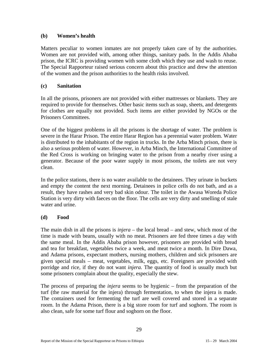### **(b) Women's health**

Matters peculiar to women inmates are not properly taken care of by the authorities. Women are not provided with, among other things, sanitary pads. In the Addis Ababa prison, the ICRC is providing women with some cloth which they use and wash to reuse. The Special Rapporteur raised serious concern about this practice and drew the attention of the women and the prison authorities to the health risks involved.

#### **(c) Sanitation**

In all the prisons, prisoners are not provided with either mattresses or blankets. They are required to provide for themselves. Other basic items such as soap, sheets, and detergents for clothes are equally not provided. Such items are either provided by NGOs or the Prisoners Committees.

One of the biggest problems in all the prisons is the shortage of water. The problem is severe in the Harar Prison. The entire Harar Region has a perennial water problem. Water is distributed to the inhabitants of the region in trucks. In the Arba Minch prison, there is also a serious problem of water. However, in Arba Minch, the International Committee of the Red Cross is working on bringing water to the prison from a nearby river using a generator. Because of the poor water supply in most prisons, the toilets are not very clean.

In the police stations, there is no water available to the detainees. They urinate in buckets and empty the content the next morning. Detainees in police cells do not bath, and as a result, they have rashes and very bad skin odour. The toilet in the Awasa Woreda Police Station is very dirty with faeces on the floor. The cells are very dirty and smelling of stale water and urine.

## **(d) Food**

The main dish in all the prisons is *injera* – the local bread – and stew, which most of the time is made with beans, usually with no meat. Prisoners are fed three times a day with the same meal. In the Addis Ababa prison however, prisoners are provided with bread and tea for breakfast, vegetables twice a week, and meat twice a month. In Dire Dawa, and Adama prisons, expectant mothers, nursing mothers, children and sick prisoners are given special meals – meat, vegetables, milk, eggs, etc. Foreigners are provided with porridge and rice, if they do not want *injera.* The quantity of food is usually much but some prisoners complain about the quality, especially the stew.

The process of preparing the *injera* seems to be hygienic – from the preparation of the turf (the raw material for the injera) through fermentation, to when the injera is made. The containers used for fermenting the turf are well covered and stored in a separate room. In the Adama Prison, there is a big store room for turf and soghorn. The room is also clean, safe for some turf flour and soghorn on the floor.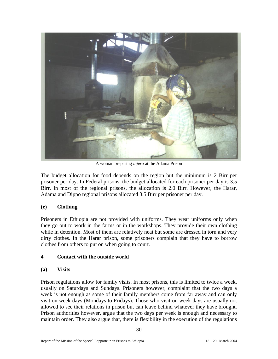

A woman preparing *injera* at the Adama Prison

The budget allocation for food depends on the region but the minimum is 2 Birr per prisoner per day. In Federal prisons, the budget allocated for each prisoner per day is 3.5 Birr. In most of the regional prisons, the allocation is 2.0 Birr. However, the Harar, Adama and Dippo regional prisons allocated 3.5 Birr per prisoner per day.

## **(e) Clothing**

Prisoners in Ethiopia are not provided with uniforms. They wear uniforms only when they go out to work in the farms or in the workshops. They provide their own clothing while in detention. Most of them are relatively neat but some are dressed in torn and very dirty clothes. In the Harar prison, some prisoners complain that they have to borrow clothes from others to put on when going to court.

## **4 Contact with the outside world**

## **(a) Visits**

Prison regulations allow for family visits. In most prisons, this is limited to twice a week, usually on Saturdays and Sundays. Prisoners however, complaint that the two days a week is not enough as some of their family members come from far away and can only visit on week days (Mondays to Fridays). Those who visit on week days are usually not allowed to see their relations in prison but can leave behind whatever they have brought. Prison authorities however, argue that the two days per week is enough and necessary to maintain order. They also argue that, there is flexibility in the execution of the regulations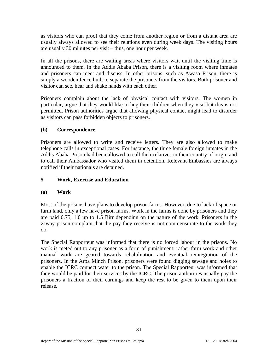as visitors who can proof that they come from another region or from a distant area are usually always allowed to see their relations even during week days. The visiting hours are usually 30 minutes per visit – thus, one hour per week.

In all the prisons, there are waiting areas where visitors wait until the visiting time is announced to them. In the Addis Ababa Prison, there is a visiting room where inmates and prisoners can meet and discuss. In other prisons, such as Awasa Prison, there is simply a wooden fence built to separate the prisoners from the visitors. Both prisoner and visitor can see, hear and shake hands with each other.

Prisoners complain about the lack of physical contact with visitors. The women in particular, argue that they would like to hug their children when they visit but this is not permitted. Prison authorities argue that allowing physical contact might lead to disorder as visitors can pass forbidden objects to prisoners.

## **(b) Correspondence**

Prisoners are allowed to write and receive letters. They are also allowed to make telephone calls in exceptional cases. For instance, the three female foreign inmates in the Addis Ababa Prison had been allowed to call their relatives in their country of origin and to call their Ambassador who visited them in detention. Relevant Embassies are always notified if their nationals are detained.

### **5 Work, Exercise and Education**

#### **(a) Work**

Most of the prisons have plans to develop prison farms. However, due to lack of space or farm land, only a few have prison farms. Work in the farms is done by prisoners and they are paid 0.75, 1.0 up to 1.5 Birr depending on the nature of the work. Prisoners in the Ziway prison complain that the pay they receive is not commensurate to the work they do.

The Special Rapporteur was informed that there is no forced labour in the prisons. No work is meted out to any prisoner as a form of punishment; rather farm work and other manual work are geared towards rehabilitation and eventual reintegration of the prisoners. In the Arba Minch Prison, prisoners were found digging sewage and holes to enable the ICRC connect water to the prison. The Special Rapporteur was informed that they would be paid for their services by the ICRC. The prison authorities usually pay the prisoners a fraction of their earnings and keep the rest to be given to them upon their release.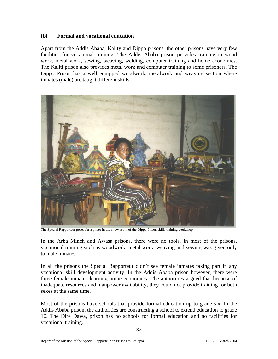#### **(b) Formal and vocational education**

Apart from the Addis Ababa, Kality and Dippo prisons, the other prisons have very few facilities for vocational training. The Addis Ababa prison provides training in wood work, metal work, sewing, weaving, welding, computer training and home economics. The Kaliti prison also provides metal work and computer training to some prisoners. The Dippo Prison has a well equipped woodwork, metalwork and weaving section where inmates (male) are taught different skills.



The Special Rapporteur poses for a photo in the show room of the Dippo Prison skills training workshop

In the Arba Minch and Awasa prisons, there were no tools. In most of the prisons, vocational training such as woodwork, metal work, weaving and sewing was given only to male inmates.

In all the prisons the Special Rapporteur didn't see female inmates taking part in any vocational skill development activity. In the Addis Ababa prison however, there were three female inmates learning home economics. The authorities argued that because of inadequate resources and manpower availability, they could not provide training for both sexes at the same time.

Most of the prisons have schools that provide formal education up to grade six. In the Addis Ababa prison, the authorities are constructing a school to extend education to grade 10. The Dire Dawa, prison has no schools for formal education and no facilities for vocational training.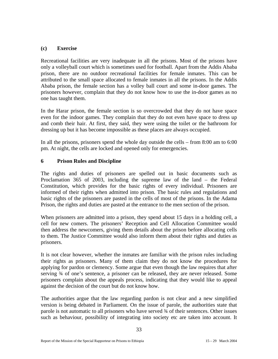#### **(c) Exercise**

Recreational facilities are very inadequate in all the prisons. Most of the prisons have only a volleyball court which is sometimes used for football. Apart from the Addis Ababa prison, there are no outdoor recreational facilities for female inmates. This can be attributed to the small space allocated to female inmates in all the prisons. In the Addis Ababa prison, the female section has a volley ball court and some in-door games. The prisoners however, complain that they do not know how to use the in-door games as no one has taught them.

In the Harar prison, the female section is so overcrowded that they do not have space even for the indoor games. They complain that they do not even have space to dress up and comb their hair. At first, they said, they were using the toilet or the bathroom for dressing up but it has become impossible as these places are always occupied.

In all the prisons, prisoners spend the whole day outside the cells – from 8:00 am to 6:00 pm. At night, the cells are locked and opened only for emergencies.

#### **6 Prison Rules and Discipline**

The rights and duties of prisoners are spelled out in basic documents such as Proclamation 365 of 2003, including the supreme law of the land – the Federal Constitution, which provides for the basic rights of every individual. Prisoners are informed of their rights when admitted into prison. The basic rules and regulations and basic rights of the prisoners are pasted in the cells of most of the prisons. In the Adama Prison, the rights and duties are pasted at the entrance to the men section of the prison.

When prisoners are admitted into a prison, they spend about 15 days in a holding cell, a cell for new comers. The prisoners' Reception and Cell Allocation Committee would then address the newcomers, giving them details about the prison before allocating cells to them. The Justice Committee would also inform them about their rights and duties as prisoners.

It is not clear however, whether the inmates are familiar with the prison rules including their rights as prisoners. Many of them claim they do not know the procedures for applying for pardon or clemency. Some argue that even though the law requires that after serving ¾ of one's sentence, a prisoner can be released, they are never released. Some prisoners complain about the appeals process, indicating that they would like to appeal against the decision of the court but do not know how.

The authorities argue that the law regarding pardon is not clear and a new simplified version is being debated in Parliament. On the issue of parole, the authorities state that parole is not automatic to all prisoners who have served ¾ of their sentences. Other issues such as behaviour, possibility of integrating into society etc are taken into account. It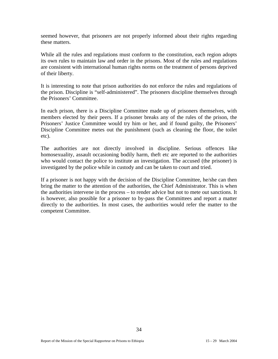seemed however, that prisoners are not properly informed about their rights regarding these matters.

While all the rules and regulations must conform to the constitution, each region adopts its own rules to maintain law and order in the prisons. Most of the rules and regulations are consistent with international human rights norms on the treatment of persons deprived of their liberty.

It is interesting to note that prison authorities do not enforce the rules and regulations of the prison. Discipline is "self-administered". The prisoners discipline themselves through the Prisoners' Committee.

In each prison, there is a Discipline Committee made up of prisoners themselves, with members elected by their peers. If a prisoner breaks any of the rules of the prison, the Prisoners' Justice Committee would try him or her, and if found guilty, the Prisoners' Discipline Committee metes out the punishment (such as cleaning the floor, the toilet etc).

The authorities are not directly involved in discipline. Serious offences like homosexuality, assault occasioning bodily harm, theft etc are reported to the authorities who would contact the police to institute an investigation. The accused (the prisoner) is investigated by the police while in custody and can be taken to court and tried.

If a prisoner is not happy with the decision of the Discipline Committee, he/she can then bring the matter to the attention of the authorities, the Chief Administrator. This is when the authorities intervene in the process – to render advice but not to mete out sanctions. It is however, also possible for a prisoner to by-pass the Committees and report a matter directly to the authorities. In most cases, the authorities would refer the matter to the competent Committee.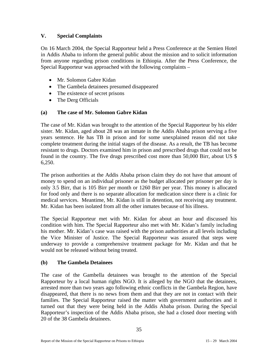## **V. Special Complaints**

On 16 March 2004, the Special Rapporteur held a Press Conference at the Semien Hotel in Addis Ababa to inform the general public about the mission and to solicit information from anyone regarding prison conditions in Ethiopia. After the Press Conference, the Special Rapporteur was approached with the following complaints –

- Mr. Solomon Gabre Kidan
- The Gambela detainees presumed disappeared
- The existence of secret prisons
- The Derg Officials

## **(a)****The case of Mr. Solomon Gabre Kidan**

The case of Mr. Kidan was brought to the attention of the Special Rapporteur by his elder sister. Mr. Kidan, aged about 28 was an inmate in the Addis Ababa prison serving a five years sentence. He has TB in prison and for some unexplained reason did not take complete treatment during the initial stages of the disease. As a result, the TB has become resistant to drugs. Doctors examined him in prison and prescribed drugs that could not be found in the country. The five drugs prescribed cost more than 50,000 Birr, about US \$ 6,250.

The prison authorities at the Addis Ababa prison claim they do not have that amount of money to spend on an individual prisoner as the budget allocated per prisoner per day is only 3.5 Birr, that is 105 Birr per month or 1260 Birr per year. This money is allocated for food only and there is no separate allocation for medication since there is a clinic for medical services. Meantime, Mr. Kidan is still in detention, not receiving any treatment. Mr. Kidan has been isolated from all the other inmates because of his illness.

The Special Rapporteur met with Mr. Kidan for about an hour and discussed his condition with him. The Special Rapporteur also met with Mr. Kidan's family including his mother. Mr. Kidan's case was raised with the prison authorities at all levels including the Vice Minister of Justice. The Special Rapporteur was assured that steps were underway to provide a comprehensive treatment package for Mr. Kidan and that he would not be released without being treated.

## **(b) The Gambela Detainees**

The case of the Gambella detainees was brought to the attention of the Special Rapporteur by a local human rights NGO. It is alleged by the NGO that the detainees, arrested more than two years ago following ethnic conflicts in the Gambela Region, have disappeared, that there is no news from them and that they are not in contact with their families. The Special Rapporteur raised the matter with government authorities and it turned out that they were being held in the Addis Ababa prison. During the Special Rapporteur's inspection of the Addis Ababa prison, she had a closed door meeting with 20 of the 38 Gambela detainees.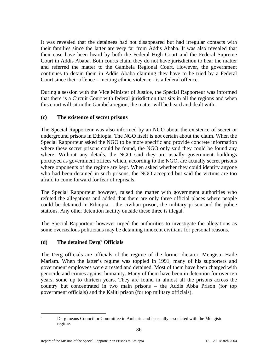It was revealed that the detainees had not disappeared but had irregular contacts with their families since the latter are very far from Addis Ababa. It was also revealed that their case have been heard by both the Federal High Court and the Federal Supreme Court in Addis Ababa. Both courts claim they do not have jurisdiction to hear the matter and referred the matter to the Gambela Regional Court. However, the government continues to detain them in Addis Ababa claiming they have to be tried by a Federal Court since their offence – inciting ethnic violence - is a federal offence.

During a session with the Vice Minister of Justice, the Special Rapporteur was informed that there is a Circuit Court with federal jurisdiction that sits in all the regions and when this court will sit in the Gambela region, the matter will be heard and dealt with.

## **(c) The existence of secret prisons**

The Special Rapporteur was also informed by an NGO about the existence of secret or underground prisons in Ethiopia. The NGO itself is not certain about the claim. When the Special Rapporteur asked the NGO to be more specific and provide concrete information where these secret prisons could be found, the NGO only said they could be found any where. Without any details, the NGO said they are usually government buildings portrayed as government offices which, according to the NGO, are actually secret prisons where opponents of the regime are kept. When asked whether they could identify anyone who had been detained in such prisons, the NGO accepted but said the victims are too afraid to come forward for fear of reprisals.

The Special Rapporteur however, raised the matter with government authorities who refuted the allegations and added that there are only three official places where people could be detained in Ethiopia – the civilian prison, the military prison and the police stations. Any other detention facility outside these three is illegal.

The Special Rapporteur however urged the authorities to investigate the allegations as some overzealous politicians may be detaining innocent civilians for personal reasons.

## **(d) The detained Derg6 Officials**

The Derg officials are officials of the regime of the former dictator, Mengistu Haile Mariam. When the latter's regime was toppled in 1991, many of his supporters and government employees were arrested and detained. Most of them have been charged with genocide and crimes against humanity. Many of them have been in detention for over ten years, some up to thirteen years. They are found in almost all the prisons across the country but concentrated in two main prisons – the Addis Abba Prison (for top government officials) and the Kaliti prison (for top military officials).

 $\frac{1}{6}$ 

Derg means Council or Committee in Amharic and is usually associated with the Mengistu regime.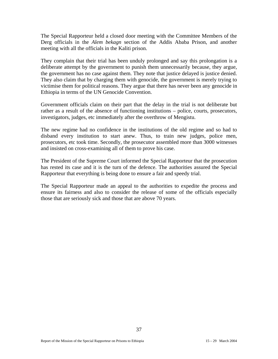The Special Rapporteur held a closed door meeting with the Committee Members of the Derg officials in the *Alem bekagn* section of the Addis Ababa Prison, and another meeting with all the officials in the Kaliti prison.

They complain that their trial has been unduly prolonged and say this prolongation is a deliberate attempt by the government to punish them unnecessarily because, they argue, the government has no case against them. They note that justice delayed is justice denied. They also claim that by charging them with genocide, the government is merely trying to victimise them for political reasons. They argue that there has never been any genocide in Ethiopia in terms of the UN Genocide Convention.

Government officials claim on their part that the delay in the trial is not deliberate but rather as a result of the absence of functioning institutions – police, courts, prosecutors, investigators, judges, etc immediately after the overthrow of Mengistu.

The new regime had no confidence in the institutions of the old regime and so had to disband every institution to start anew. Thus, to train new judges, police men, prosecutors, etc took time. Secondly, the prosecutor assembled more than 3000 witnesses and insisted on cross-examining all of them to prove his case.

The President of the Supreme Court informed the Special Rapporteur that the prosecution has rested its case and it is the turn of the defence. The authorities assured the Special Rapporteur that everything is being done to ensure a fair and speedy trial.

The Special Rapporteur made an appeal to the authorities to expedite the process and ensure its fairness and also to consider the release of some of the officials especially those that are seriously sick and those that are above 70 years.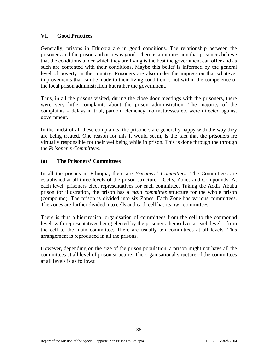### **VI. Good Practices**

Generally, prisons in Ethiopia are in good conditions. The relationship between the prisoners and the prison authorities is good. There is an impression that prisoners believe that the conditions under which they are living is the best the government can offer and as such are contented with their conditions. Maybe this belief is informed by the general level of poverty in the country. Prisoners are also under the impression that whatever improvements that can be made to their living condition is not within the competence of the local prison administration but rather the government.

Thus, in all the prisons visited, during the close door meetings with the prisoners, there were very little complaints about the prison administration. The majority of the complaints – delays in trial, pardon, clemency, no mattresses etc were directed against government.

In the midst of all these complaints, the prisoners are generally happy with the way they are being treated. One reason for this it would seem, is the fact that the prisoners ire virtually responsible for their wellbeing while in prison. This is done through the through the *Prisoner's Committees*.

## **(a) The Prisoners' Committees**

In all the prisons in Ethiopia, there are *Prisoners' Committees*. The Committees are established at all three levels of the prison structure – Cells, Zones and Compounds. At each level, prisoners elect representatives for each committee. Taking the Addis Ababa prison for illustration, the prison has a *main committee* structure for the whole prison (compound). The prison is divided into six Zones. Each Zone has various committees. The zones are further divided into cells and each cell has its own committees.

There is thus a hierarchical organisation of committees from the cell to the compound level, with representatives being elected by the prisoners themselves at each level – from the cell to the main committee. There are usually ten committees at all levels. This arrangement is reproduced in all the prisons.

However, depending on the size of the prison population, a prison might not have all the committees at all level of prison structure. The organisational structure of the committees at all levels is as follows: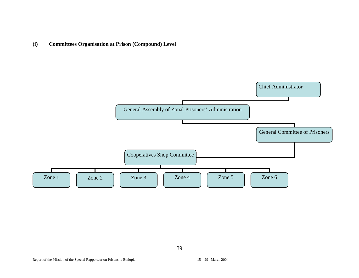**(i) Committees Organisation at Prison (Compound) Level** 

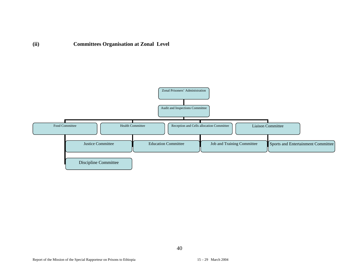

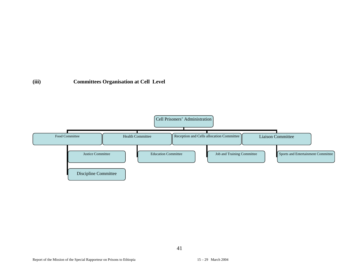## **(iii) Committees Organisation at Cell Level**

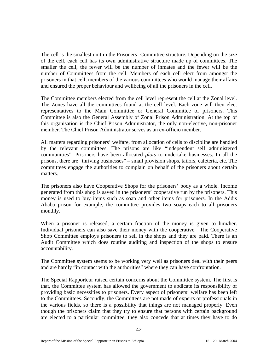The cell is the smallest unit in the Prisoners' Committee structure. Depending on the size of the cell, each cell has its own administrative structure made up of committees. The smaller the cell, the fewer will be the number of inmates and the fewer will be the number of Committees from the cell. Members of each cell elect from amongst the prisoners in that cell, members of the various committees who would manage their affairs and ensured the proper behaviour and wellbeing of all the prisoners in the cell.

The Committee members elected from the cell level represent the cell at the Zonal level. The Zones have all the committees found at the cell level. Each zone will then elect representatives to the Main Committee or General Committee of prisoners. This Committee is also the General Assembly of Zonal Prison Administration. At the top of this organisation is the Chief Prison Administrator, the only non-elective, non-prisoner member. The Chief Prison Administrator serves as an ex-officio member.

All matters regarding prisoners' welfare, from allocation of cells to discipline are handled by the relevant committees. The prisons are like "independent self administered communities". Prisoners have been allocated *plots* to undertake businesses. In all the prisons, there are "thriving businesses" – small provision shops, tailors, cafeteria, etc. The committees engage the authorities to complain on behalf of the prisoners about certain matters.

The prisoners also have Cooperative Shops for the prisoners' body as a whole. Income generated from this shop is saved in the prisoners' cooperative run by the prisoners. This money is used to buy items such as soap and other items for prisoners. In the Addis Ababa prison for example, the committee provides two soaps each to all prisoners monthly.

When a prisoner is released, a certain fraction of the money is given to him/her. Individual prisoners can also save their money with the cooperative. The Cooperative Shop Committee employs prisoners to sell in the shops and they are paid. There is an Audit Committee which does routine auditing and inspection of the shops to ensure accountability.

The Committee system seems to be working very well as prisoners deal with their peers and are hardly "in contact with the authorities" where they can have confrontation.

The Special Rapporteur raised certain concerns about the Committee system. The first is that, the Committee system has allowed the government to abdicate its responsibility of providing basic necessities to prisoners. Every aspect of prisoners' welfare has been left to the Committees. Secondly, the Committees are not made of experts or professionals in the various fields, so there is a possibility that things are not managed properly. Even though the prisoners claim that they try to ensure that persons with certain background are elected to a particular committee, they also concede that at times they have to do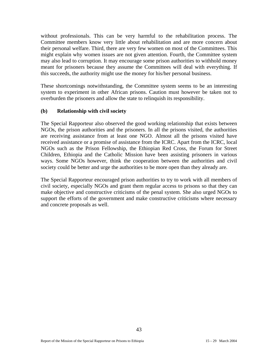without professionals. This can be very harmful to the rehabilitation process. The Committee members know very little about rehabilitation and are more concern about their personal welfare. Third, there are very few women on most of the Committees. This might explain why women issues are not given attention. Fourth, the Committee system may also lead to corruption. It may encourage some prison authorities to withhold money meant for prisoners because they assume the Committees will deal with everything. If this succeeds, the authority might use the money for his/her personal business.

These shortcomings notwithstanding, the Committee system seems to be an interesting system to experiment in other African prisons. Caution must however be taken not to overburden the prisoners and allow the state to relinquish its responsibility.

#### **(b) Relationship with civil society**

The Special Rapporteur also observed the good working relationship that exists between NGOs, the prison authorities and the prisoners. In all the prisons visited, the authorities are receiving assistance from at least one NGO. Almost all the prisons visited have received assistance or a promise of assistance from the ICRC. Apart from the ICRC, local NGOs such as the Prison Fellowship, the Ethiopian Red Cross, the Forum for Street Children, Ethiopia and the Catholic Mission have been assisting prisoners in various ways. Some NGOs however, think the cooperation between the authorities and civil society could be better and urge the authorities to be more open than they already are.

The Special Rapporteur encouraged prison authorities to try to work with all members of civil society, especially NGOs and grant them regular access to prisons so that they can make objective and constructive criticisms of the penal system. She also urged NGOs to support the efforts of the government and make constructive criticisms where necessary and concrete proposals as well.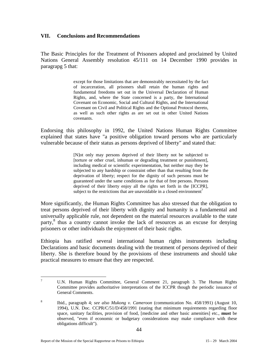#### **VII. Conclusions and Recommendations**

The Basic Principles for the Treatment of Prisoners adopted and proclaimed by United Nations General Assembly resolution 45/111 on 14 December 1990 provides in paragrapg 5 that:

> except for those limitations that are demonstrably necessitated by the fact of incarceration, all prisoners shall retain the human rights and fundamental freedoms set out in the Universal Declaration of Human Rights, and, where the State concerned is a party, the International Covenant on Economic, Social and Cultural Rights, and the International Covenant on Civil and Political Rights and the Optional Protocol thereto, as well as such other rights as are set out in other United Nations covenants.

Endorsing this philosophy in 1992, the United Nations Human Rights Committee explained that states have "a positive obligation toward persons who are particularly vulnerable because of their status as persons deprived of liberty" and stated that:

> [N]ot only may persons deprived of their liberty not be subjected to [torture or other cruel, inhuman or degrading treatment or punishment], including medical or scientific experimentation, but neither may they be subjected to any hardship or constraint other than that resulting from the deprivation of liberty; respect for the dignity of such persons must be guaranteed under the same conditions as for that of free persons. Persons deprived of their liberty enjoy all the rights set forth in the [ICCPR], subject to the restrictions that are unavoidable in a closed environment<sup>7</sup>

More significantly, the Human Rights Committee has also stressed that the obligation to treat persons deprived of their liberty with dignity and humanity is a fundamental and universally applicable rule, not dependent on the material resources available to the state party,<sup>8</sup> thus a country cannot invoke the lack of resources as an excuse for denying prisoners or other individuals the enjoyment of their basic rights.

Ethiopia has ratified several international human rights instruments including Declarations and basic documents dealing with the treatment of persons deprived of their liberty. She is therefore bound by the provisions of these instruments and should take practical measures to ensure that they are respected.

<sup>&</sup>lt;sup>-</sup> U.N. Human Rights Committee, General Comment 21, paragraph 3. The Human Rights Committee provides authoritative interpretations of the ICCPR though the periodic issuance of General Comments.

<sup>8</sup> Ibid., paragraph 4; *see also Mukong v. Cameroon* (communication No. 458/1991) (August 10, 1994), U.N. Doc. CCPR/C/51/D/458/1991 (stating that minimum requirements regarding floor space, sanitary facilities, provision of food, [medicine and other basic amenities] etc., **must** be observed, "even if economic or budgetary considerations may make compliance with these obligations difficult").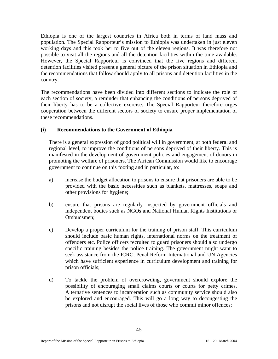Ethiopia is one of the largest countries in Africa both in terms of land mass and population. The Special Rapporteur's mission to Ethiopia was undertaken in just eleven working days and this took her to five out of the eleven regions. It was therefore not possible to visit all the regions and all the detention facilities within the time available. However, the Special Rapporteur is convinced that the five regions and different detention facilities visited present a general picture of the prison situation in Ethiopia and the recommendations that follow should apply to all prisons and detention facilities in the country.

The recommendations have been divided into different sections to indicate the role of each section of society, a reminder that enhancing the conditions of persons deprived of their liberty has to be a collective exercise. The Special Rapporteur therefore urges cooperation between the different sectors of society to ensure proper implementation of these recommendations.

## **(i) Recommendations to the Government of Ethiopia**

There is a general expression of good political will in government, at both federal and regional level, to improve the conditions of persons deprived of their liberty. This is manifested in the development of government policies and engagement of donors in promoting the welfare of prisoners. The African Commission would like to encourage government to continue on this footing and in particular, to:

- a) increase the budget allocation to prisons to ensure that prisoners are able to be provided with the basic necessities such as blankets, mattresses, soaps and other provisions for hygiene;
- b) ensure that prisons are regularly inspected by government officials and independent bodies such as NGOs and National Human Rights Institutions or Ombudsmen;
- c) Develop a proper curriculum for the training of prison staff. This curriculum should include basic human rights, international norms on the treatment of offenders etc. Police officers recruited to guard prisoners should also undergo specific training besides the police training. The government might want to seek assistance from the ICRC, Penal Reform International and UN Agencies which have sufficient experience in curriculum development and training for prison officials;
- d) To tackle the problem of overcrowding, government should explore the possibility of encouraging small claims courts or courts for petty crimes. Alternative sentences to incarceration such as community service should also be explored and encouraged. This will go a long way to decongesting the prisons and not disrupt the social lives of those who commit minor offences;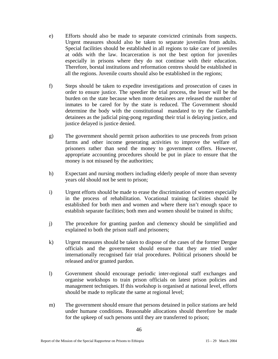- e) Efforts should also be made to separate convicted criminals from suspects. Urgent measures should also be taken to separate juveniles from adults. Special facilities should be established in all regions to take care of juveniles at odds with the law. Incarceration is not the best option for juveniles especially in prisons where they do not continue with their education. Therefore, borstal institutions and reformation centres should be established in all the regions. Juvenile courts should also be established in the regions;
- f) Steps should be taken to expedite investigations and prosecution of cases in order to ensure justice. The speedier the trial process, the lesser will be the burden on the state because when more detainees are released the number of inmates to be cared for by the state is reduced. The Government should determine the body with the constitutional mandated to try the Gambella detainees as the judicial ping-pong regarding their trial is delaying justice, and justice delayed is justice denied.
- g) The government should permit prison authorities to use proceeds from prison farms and other income generating activities to improve the welfare of prisoners rather than send the money to government coffers. However, appropriate accounting procedures should be put in place to ensure that the money is not misused by the authorities;
- h) Expectant and nursing mothers including elderly people of more than seventy years old should not be sent to prison;
- i) Urgent efforts should be made to erase the discrimination of women especially in the process of rehabilitation. Vocational training facilities should be established for both men and women and where there isn't enough space to establish separate facilities; both men and women should be trained in shifts;
- j) The procedure for granting pardon and clemency should be simplified and explained to both the prison staff and prisoners;
- k) Urgent measures should be taken to dispose of the cases of the former Dergue officials and the government should ensure that they are tried under internationally recognised fair trial procedures. Political prisoners should be released and/or granted pardon.
- l) Government should encourage periodic inter-regional staff exchanges and organise workshops to train prison officials on latest prison policies and management techniques. If this workshop is organised at national level, efforts should be made to replicate the same at regional level;
- m) The government should ensure that persons detained in police stations are held under humane conditions. Reasonable allocations should therefore be made for the upkeep of such persons until they are transferred to prison;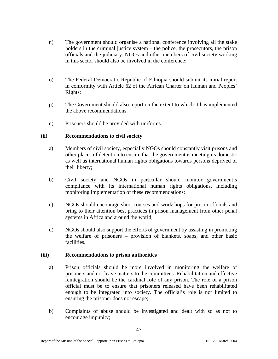- n) The government should organise a national conference involving all the stake holders in the criminal justice system – the police, the prosecutors, the prison officials and the judiciary. NGOs and other members of civil society working in this sector should also be involved in the conference;
- o) The Federal Democratic Republic of Ethiopia should submit its initial report in conformity with Article 62 of the African Charter on Human and Peoples' Rights;
- p) The Government should also report on the extent to which it has implemented the above recommendations.
- q) Prisoners should be provided with uniforms.

#### **(ii) Recommendations to civil society**

- a) Members of civil society, especially NGOs should constantly visit prisons and other places of detention to ensure that the government is meeting its domestic as well as international human rights obligations towards persons deprived of their liberty;
- b) Civil society and NGOs in particular should monitor government's compliance with its international human rights obligations, including monitoring implementation of these recommendations;
- c) NGOs should encourage short courses and workshops for prison officials and bring to their attention best practices in prison management from other penal systems in Africa and around the world;
- d) NGOs should also support the efforts of government by assisting in promoting the welfare of prisoners – provision of blankets, soaps, and other basic facilities.

#### **(iii) Recommendations to prison authorities**

- a) Prison officials should be more involved in monitoring the welfare of prisoners and not leave matters to the committees. Rehabilitation and effective reintegration should be the cardinal role of any prison. The role of a prison official must be to ensure that prisoners released have been rehabilitated enough to be integrated into society. The official's role is not limited to ensuring the prisoner does not escape;
- b) Complaints of abuse should be investigated and dealt with so as not to encourage impunity;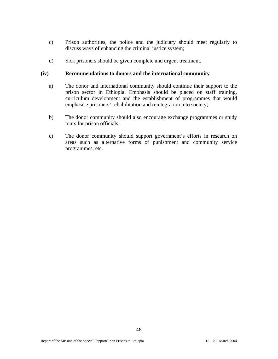- c) Prison authorities, the police and the judiciary should meet regularly to discuss ways of enhancing the criminal justice system;
- d) Sick prisoners should be given complete and urgent treatment.

#### **(iv) Recommendations to donors and the international community**

- a) The donor and international community should continue their support to the prison sector in Ethiopia. Emphasis should be placed on staff training, curriculum development and the establishment of programmes that would emphasise prisoners' rehabilitation and reintegration into society;
- b) The donor community should also encourage exchange programmes or study tours for prison officials;
- c) The donor community should support government's efforts in research on areas such as alternative forms of punishment and community service programmes, etc.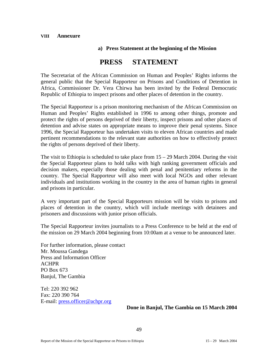#### **VIII Annexure**

#### **a) Press Statement at the beginning of the Mission**

## **PRESS STATEMENT**

The Secretariat of the African Commission on Human and Peoples' Rights informs the general public that the Special Rapporteur on Prisons and Conditions of Detention in Africa, Commissioner Dr. Vera Chirwa has been invited by the Federal Democratic Republic of Ethiopia to inspect prisons and other places of detention in the country.

The Special Rapporteur is a prison monitoring mechanism of the African Commission on Human and Peoples' Rights established in 1996 to among other things, promote and protect the rights of persons deprived of their liberty, inspect prisons and other places of detention and advise states on appropriate means to improve their penal systems. Since 1996, the Special Rapporteur has undertaken visits to eleven African countries and made pertinent recommendations to the relevant state authorities on how to effectively protect the rights of persons deprived of their liberty.

The visit to Ethiopia is scheduled to take place from  $15 - 29$  March 2004. During the visit the Special Rapporteur plans to hold talks with high ranking government officials and decision makers, especially those dealing with penal and penitentiary reforms in the country. The Special Rapporteur will also meet with local NGOs and other relevant individuals and institutions working in the country in the area of human rights in general and prisons in particular.

A very important part of the Special Rapporteurs mission will be visits to prisons and places of detention in the country, which will include meetings with detainees and prisoners and discussions with junior prison officials.

The Special Rapporteur invites journalists to a Press Conference to be held at the end of the mission on 29 March 2004 beginning from 10:00am at a venue to be announced later.

For further information, please contact Mr. Moussa Gandega Press and Information Officer ACHPR PO Box 673 Banjul, The Gambia

Tel: 220 392 962 Fax: 220 390 764 E-mail: press.officer@achpr.org

## **Done in Banjul, The Gambia on 15 March 2004**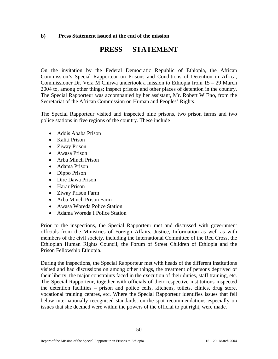#### **b) Press Statement issued at the end of the mission**

## **PRESS STATEMENT**

On the invitation by the Federal Democratic Republic of Ethiopia, the African Commission's Special Rapporteur on Prisons and Conditions of Detention in Africa, Commissioner Dr. Vera M Chirwa undertook a mission to Ethiopia from 15 – 29 March 2004 to, among other things; inspect prisons and other places of detention in the country. The Special Rapporteur was accompanied by her assistant, Mr. Robert W Eno, from the Secretariat of the African Commission on Human and Peoples' Rights.

The Special Rapporteur visited and inspected nine prisons, two prison farms and two police stations in five regions of the country. These include –

- Addis Ababa Prison
- Kaliti Prison
- Ziway Prison
- Awasa Prison
- Arba Minch Prison
- Adama Prison
- Dippo Prison
- Dire Dawa Prison
- Harar Prison
- Ziway Prison Farm
- Arba Minch Prison Farm
- Awasa Woreda Police Station
- Adama Woreda I Police Station

Prior to the inspections, the Special Rapporteur met and discussed with government officials from the Ministries of Foreign Affairs, Justice, Information as well as with members of the civil society, including the International Committee of the Red Cross, the Ethiopian Human Rights Council, the Forum of Street Children of Ethiopia and the Prison Fellowship Ethiopia.

During the inspections, the Special Rapporteur met with heads of the different institutions visited and had discussions on among other things, the treatment of persons deprived of their liberty, the major constraints faced in the execution of their duties, staff training, etc. The Special Rapporteur, together with officials of their respective institutions inspected the detention facilities – prison and police cells, kitchens, toilets, clinics, drug store, vocational training centres, etc. Where the Special Rapporteur identifies issues that fell below internationally recognised standards, on-the-spot recommendations especially on issues that she deemed were within the powers of the official to put right, were made.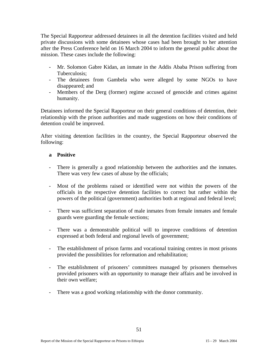The Special Rapporteur addressed detainees in all the detention facilities visited and held private discussions with some detainees whose cases had been brought to her attention after the Press Conference held on 16 March 2004 to inform the general public about the mission. These cases include the following:

- Mr. Solomon Gabre Kidan, an inmate in the Addis Ababa Prison suffering from Tuberculosis;
- The detainees from Gambela who were alleged by some NGOs to have disappeared; and
- Members of the Derg (former) regime accused of genocide and crimes against humanity.

Detainees informed the Special Rapporteur on their general conditions of detention, their relationship with the prison authorities and made suggestions on how their conditions of detention could be improved.

After visiting detention facilities in the country, the Special Rapporteur observed the following:

#### **a Positive**

- There is generally a good relationship between the authorities and the inmates. There was very few cases of abuse by the officials;
- Most of the problems raised or identified were not within the powers of the officials in the respective detention facilities to correct but rather within the powers of the political (government) authorities both at regional and federal level;
- There was sufficient separation of male inmates from female inmates and female guards were guarding the female sections;
- There was a demonstrable political will to improve conditions of detention expressed at both federal and regional levels of government;
- The establishment of prison farms and vocational training centres in most prisons provided the possibilities for reformation and rehabilitation;
- The establishment of prisoners' committees managed by prisoners themselves provided prisoners with an opportunity to manage their affairs and be involved in their own welfare;
- There was a good working relationship with the donor community.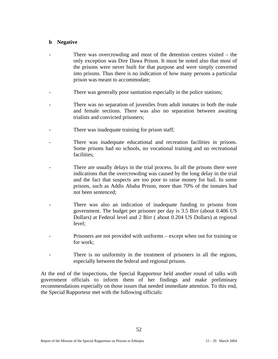#### **b Negative**

- There was overcrowding and most of the detention centres visited  $-$  the only exception was Dire Dawa Prison. It must be noted also that most of the prisons were never built for that purpose and were simply converted into prisons. Thus there is no indication of how many persons a particular prison was meant to accommodate;
- There was generally poor sanitation especially in the police stations;
- There was no separation of juveniles from adult inmates in both the male and female sections. There was also no separation between awaiting trialists and convicted prisoners;
- There was inadequate training for prison staff;
- There was inadequate educational and recreation facilities in prisons. Some prisons had no schools, no vocational training and no recreational facilities;
- There are usually delays in the trial process. In all the prisons there were indications that the overcrowding was caused by the long delay in the trial and the fact that suspects are too poor to raise money for bail. In some prisons, such as Addis Ababa Prison, more than 70% of the inmates had not been sentenced;
- There was also an indication of inadequate funding to prisons from government. The budget per prisoner per day is 3.5 Birr (about 0.406 US Dollars) at Federal level and 2 Birr ( about 0.204 US Dollars) at regional level;
- Prisoners are not provided with uniforms except when out for training or for work;
- There is no uniformity in the treatment of prisoners in all the regions, especially between the federal and regional prisons.

At the end of the inspections, the Special Rapporteur held another round of talks with government officials to inform them of her findings and make preliminary recommendations especially on those issues that needed immediate attention. To this end, the Special Rapporteur met with the following officials: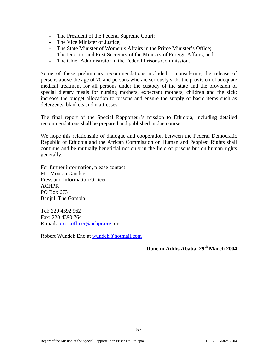- The President of the Federal Supreme Court;
- The Vice Minister of Justice;
- The State Minister of Women's Affairs in the Prime Minister's Office;
- The Director and First Secretary of the Ministry of Foreign Affairs; and
- The Chief Administrator in the Federal Prisons Commission.

Some of these preliminary recommendations included – considering the release of persons above the age of 70 and persons who are seriously sick; the provision of adequate medical treatment for all persons under the custody of the state and the provision of special dietary meals for nursing mothers, expectant mothers, children and the sick; increase the budget allocation to prisons and ensure the supply of basic items such as detergents, blankets and mattresses.

The final report of the Special Rapporteur's mission to Ethiopia, including detailed recommendations shall be prepared and published in due course.

We hope this relationship of dialogue and cooperation between the Federal Democratic Republic of Ethiopia and the African Commission on Human and Peoples' Rights shall continue and be mutually beneficial not only in the field of prisons but on human rights generally.

For further information, please contact Mr. Moussa Gandega Press and Information Officer ACHPR PO Box 673 Banjul, The Gambia

Tel: 220 4392 962 Fax: 220 4390 764 E-mail: press.officer@achpr.org or

Robert Wundeh Eno at wundeh@hotmail.com

**Done in Addis Ababa, 29th March 2004**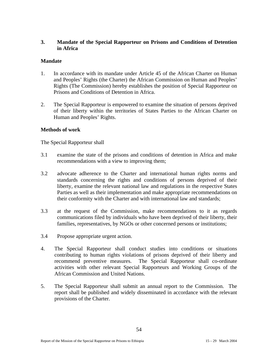## **3. Mandate of the Special Rapporteur on Prisons and Conditions of Detention in Africa**

#### **Mandate**

- 1. In accordance with its mandate under Article 45 of the African Charter on Human and Peoples' Rights (the Charter) the African Commission on Human and Peoples' Rights (The Commission) hereby establishes the position of Special Rapporteur on Prisons and Conditions of Detention in Africa.
- 2. The Special Rapporteur is empowered to examine the situation of persons deprived of their liberty within the territories of States Parties to the African Charter on Human and Peoples' Rights.

#### **Methods of work**

The Special Rapporteur shall

- 3.1 examine the state of the prisons and conditions of detention in Africa and make recommendations with a view to improving them;
- 3.2 advocate adherence to the Charter and international human rights norms and standards concerning the rights and conditions of persons deprived of their liberty, examine the relevant national law and regulations in the respective States Parties as well as their implementation and make appropriate recommendations on their conformity with the Charter and with international law and standards;
- 3.3 at the request of the Commission, make recommendations to it as regards communications filed by individuals who have been deprived of their liberty, their families, representatives, by NGOs or other concerned persons or institutions;
- 3.4 Propose appropriate urgent action.
- 4. The Special Rapporteur shall conduct studies into conditions or situations contributing to human rights violations of prisons deprived of their liberty and recommend preventive measures. The Special Rapporteur shall co-ordinate activities with other relevant Special Rapporteurs and Working Groups of the African Commission and United Nations.
- 5. The Special Rapporteur shall submit an annual report to the Commission. The report shall be published and widely disseminated in accordance with the relevant provisions of the Charter.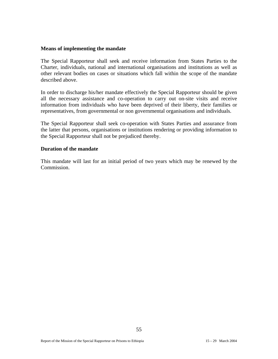#### **Means of implementing the mandate**

The Special Rapporteur shall seek and receive information from States Parties to the Charter, individuals, national and international organisations and institutions as well as other relevant bodies on cases or situations which fall within the scope of the mandate described above.

In order to discharge his/her mandate effectively the Special Rapporteur should be given all the necessary assistance and co-operation to carry out on-site visits and receive information from individuals who have been deprived of their liberty, their families or representatives, from governmental or non governmental organisations and individuals.

The Special Rapporteur shall seek co-operation with States Parties and assurance from the latter that persons, organisations or institutions rendering or providing information to the Special Rapporteur shall not be prejudiced thereby.

#### **Duration of the mandate**

This mandate will last for an initial period of two years which may be renewed by the Commission.